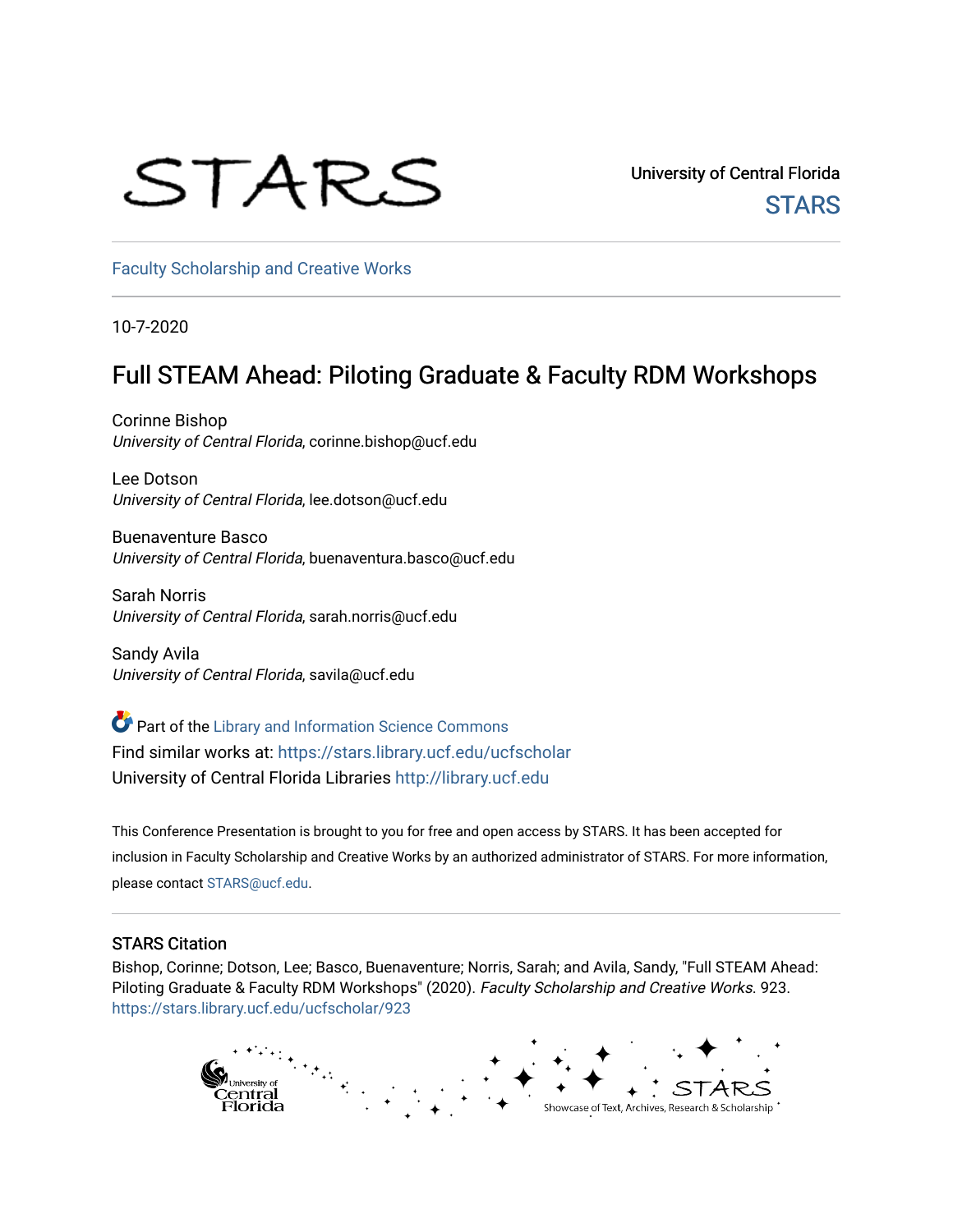## STARS

University of Central Florida **STARS** 

[Faculty Scholarship and Creative Works](https://stars.library.ucf.edu/ucfscholar) 

10-7-2020

#### Full STEAM Ahead: Piloting Graduate & Faculty RDM Workshops

Corinne Bishop University of Central Florida, corinne.bishop@ucf.edu

Lee Dotson University of Central Florida, lee.dotson@ucf.edu

Buenaventure Basco University of Central Florida, buenaventura.basco@ucf.edu

Sarah Norris University of Central Florida, sarah.norris@ucf.edu

Sandy Avila University of Central Florida, savila@ucf.edu

Part of the [Library and Information Science Commons](http://network.bepress.com/hgg/discipline/1018?utm_source=stars.library.ucf.edu%2Fucfscholar%2F923&utm_medium=PDF&utm_campaign=PDFCoverPages)  Find similar works at: <https://stars.library.ucf.edu/ucfscholar> University of Central Florida Libraries [http://library.ucf.edu](http://library.ucf.edu/) 

This Conference Presentation is brought to you for free and open access by STARS. It has been accepted for inclusion in Faculty Scholarship and Creative Works by an authorized administrator of STARS. For more information, please contact [STARS@ucf.edu](mailto:STARS@ucf.edu).

#### STARS Citation

Bishop, Corinne; Dotson, Lee; Basco, Buenaventure; Norris, Sarah; and Avila, Sandy, "Full STEAM Ahead: Piloting Graduate & Faculty RDM Workshops" (2020). Faculty Scholarship and Creative Works. 923. [https://stars.library.ucf.edu/ucfscholar/923](https://stars.library.ucf.edu/ucfscholar/923?utm_source=stars.library.ucf.edu%2Fucfscholar%2F923&utm_medium=PDF&utm_campaign=PDFCoverPages)

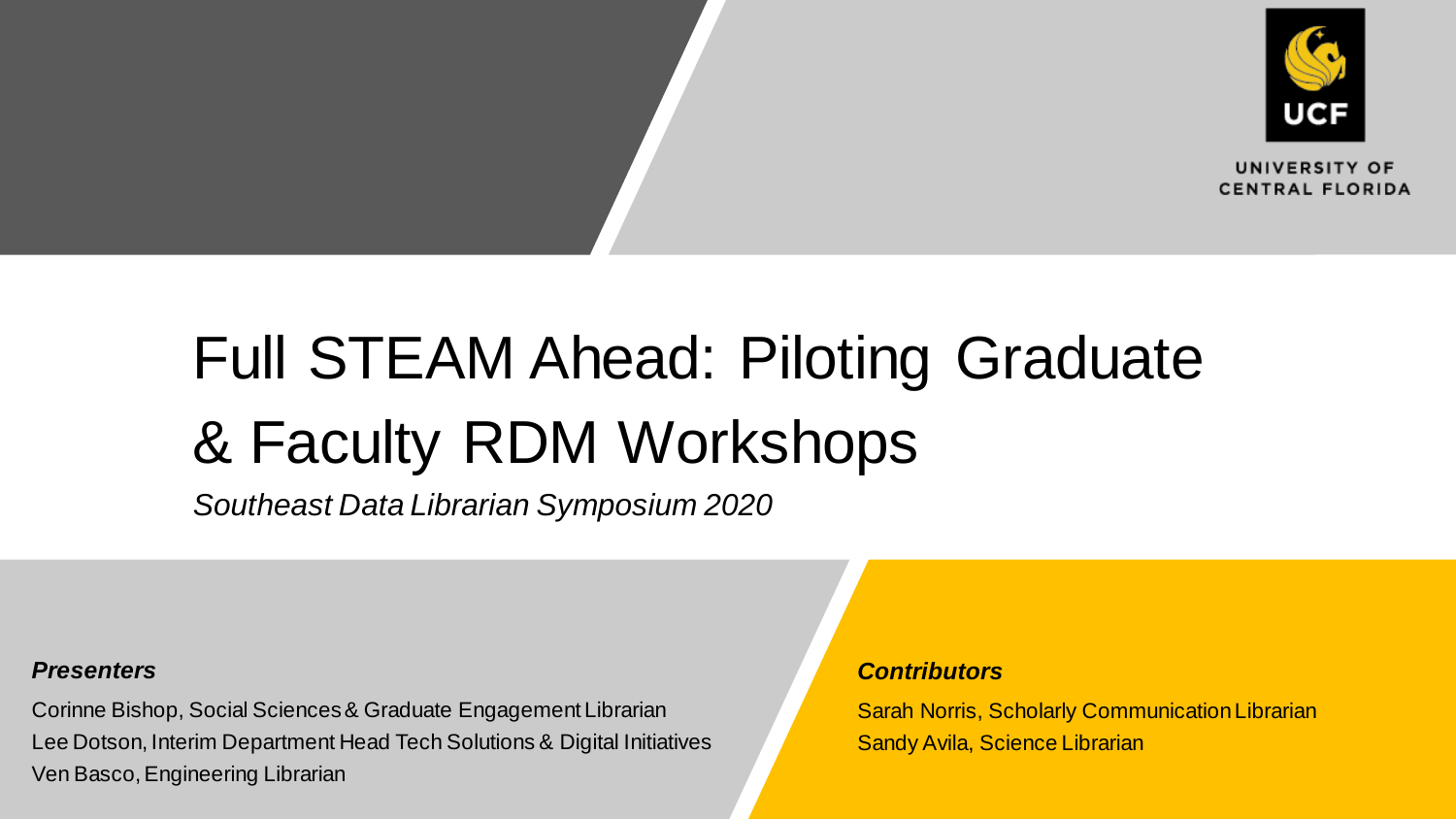

UNIVERSITY OF **CENTRAL FLORIDA** 

## Full STEAM Ahead: Piloting Graduate & Faculty RDM Workshops

*Southeast Data Librarian Symposium 2020*

#### *Presenters*

Corinne Bishop, Social Sciences & Graduate Engagement Librarian Lee Dotson, Interim Department Head Tech Solutions & Digital Initiatives Ven Basco, Engineering Librarian

#### *Contributors*

Sarah Norris, Scholarly Communication Librarian Sandy Avila, Science Librarian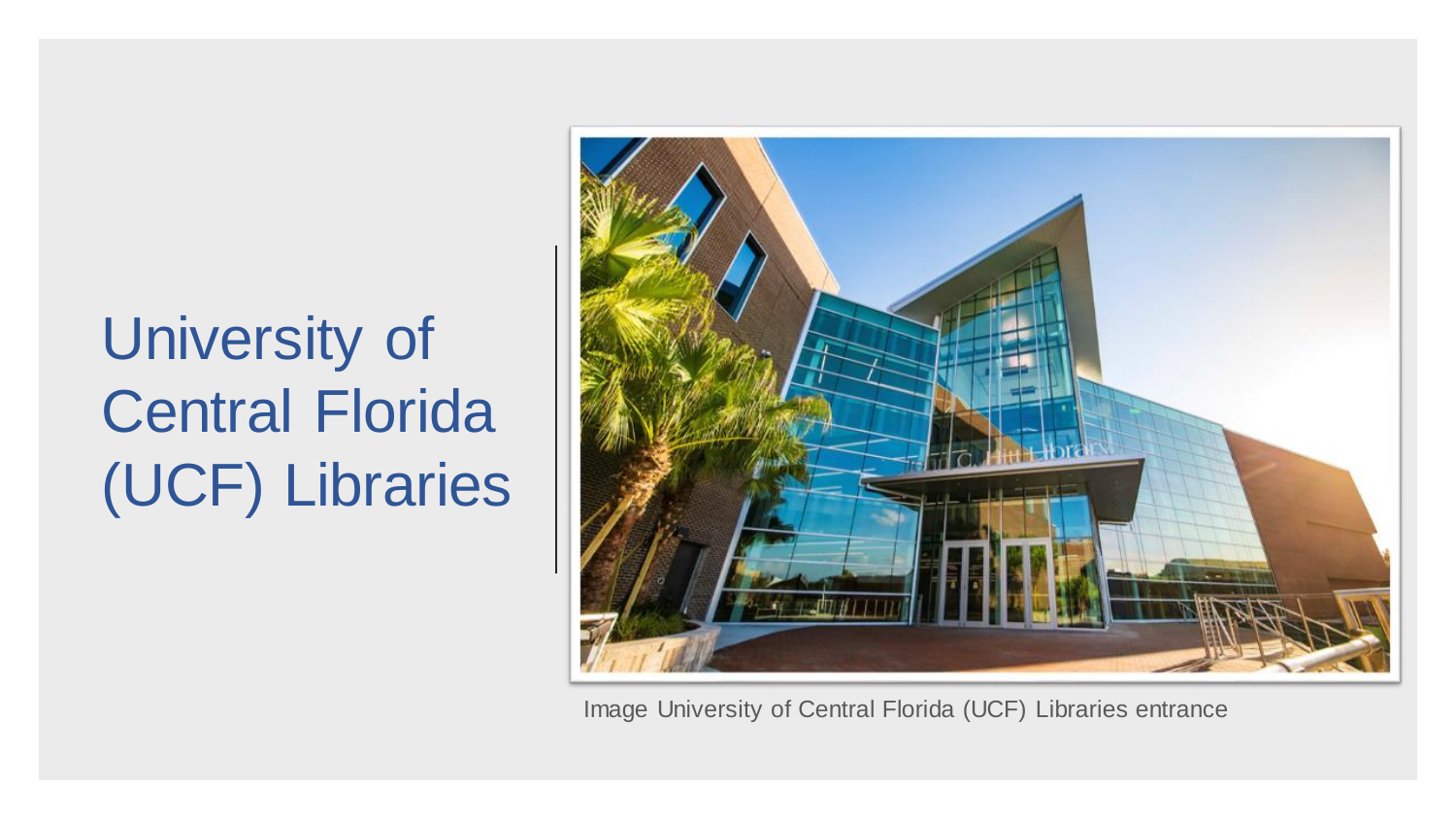## University of Central Florida (UCF) Libraries



Image University of Central Florida (UCF) Libraries entrance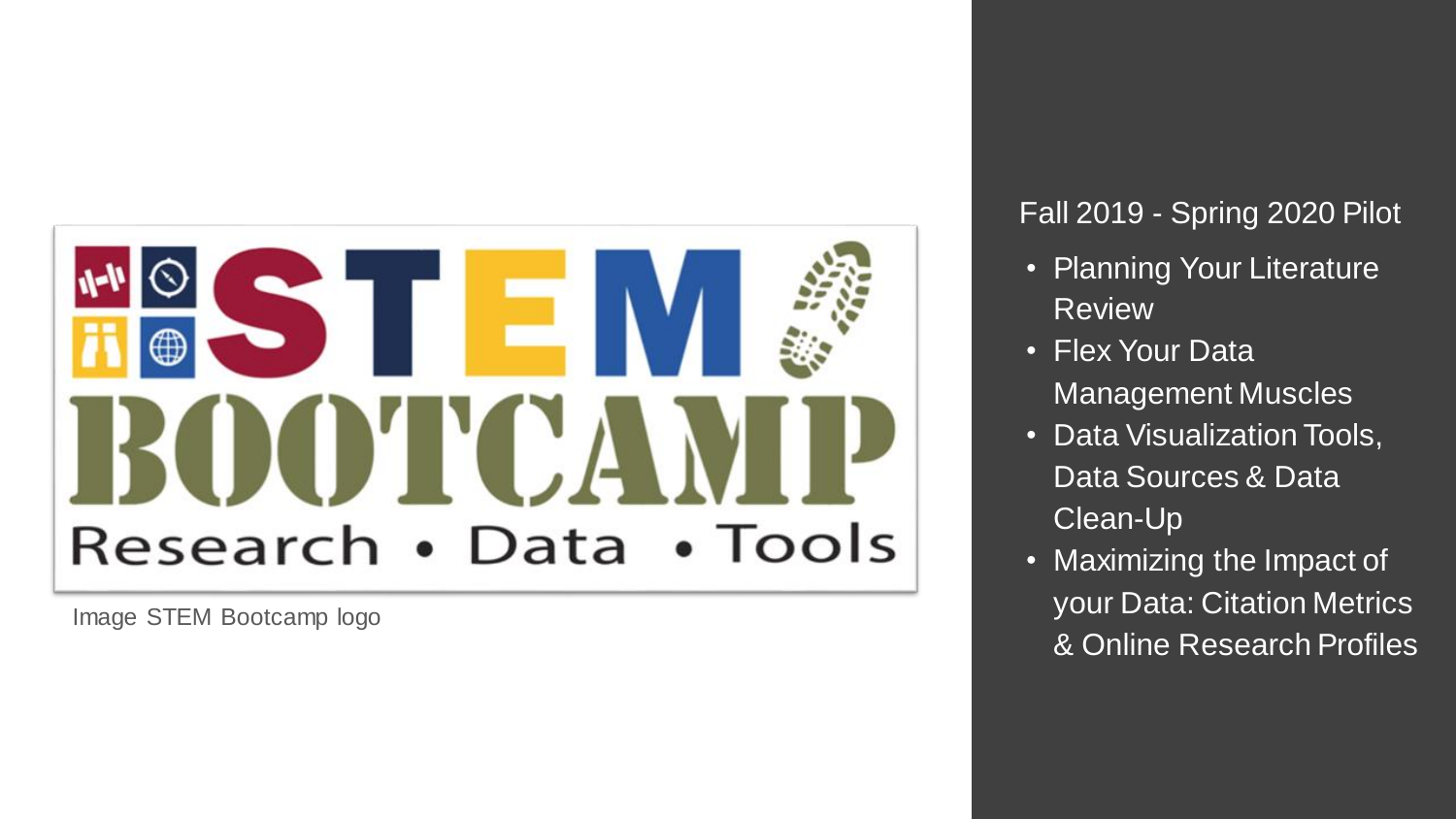

Image STEM Bootcamp logo

#### Fall 2019 - Spring 2020 Pilot

- Planning Your Literature Review
- Flex Your Data Management Muscles
- Data Visualization Tools, Data Sources & Data Clean -Up
- Maximizing the Impact of your Data: Citation Metrics & Online Research Profiles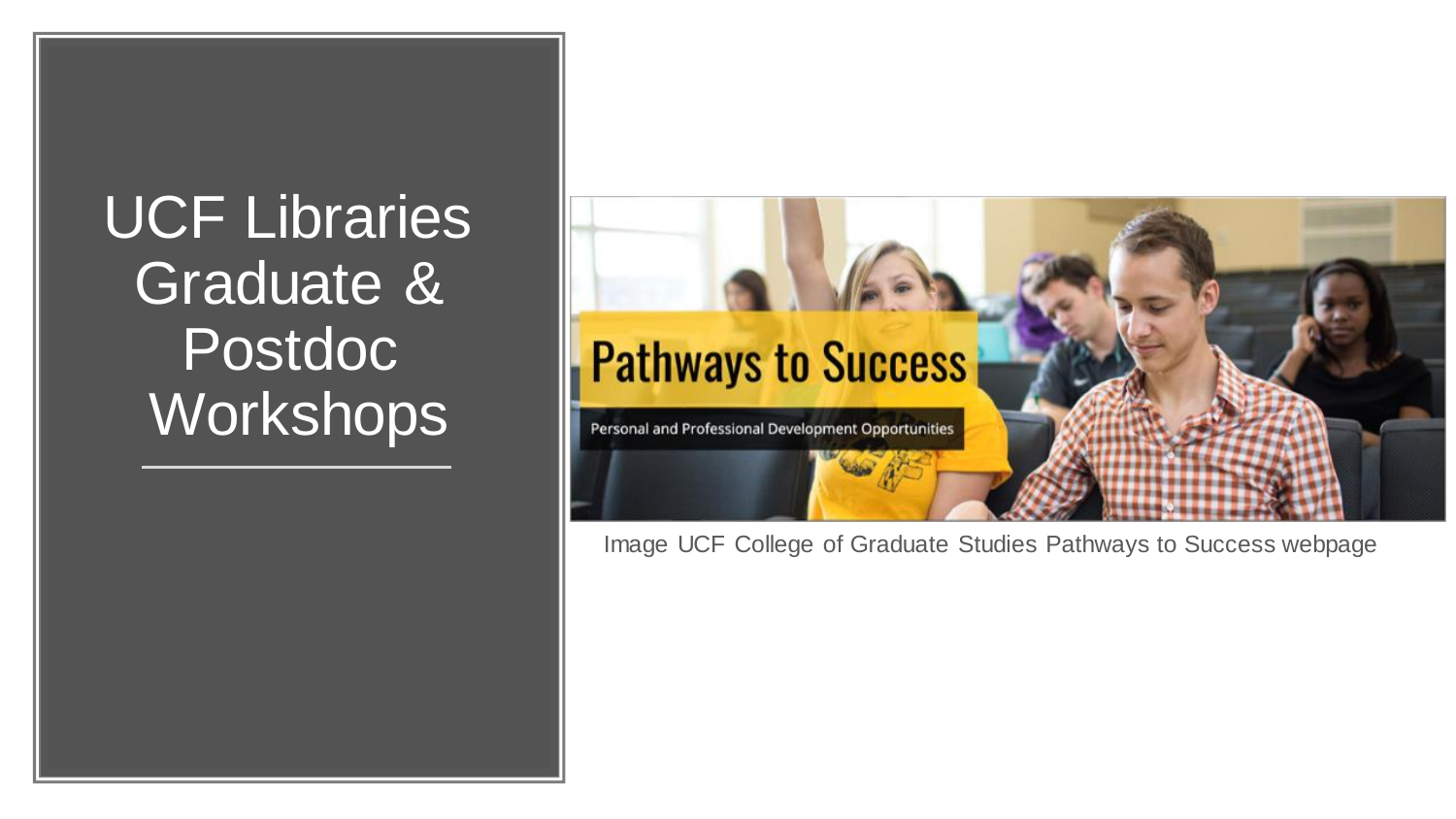UCF Libraries Graduate & Postdoc Workshops



Image UCF College of Graduate Studies Pathways to Success webpage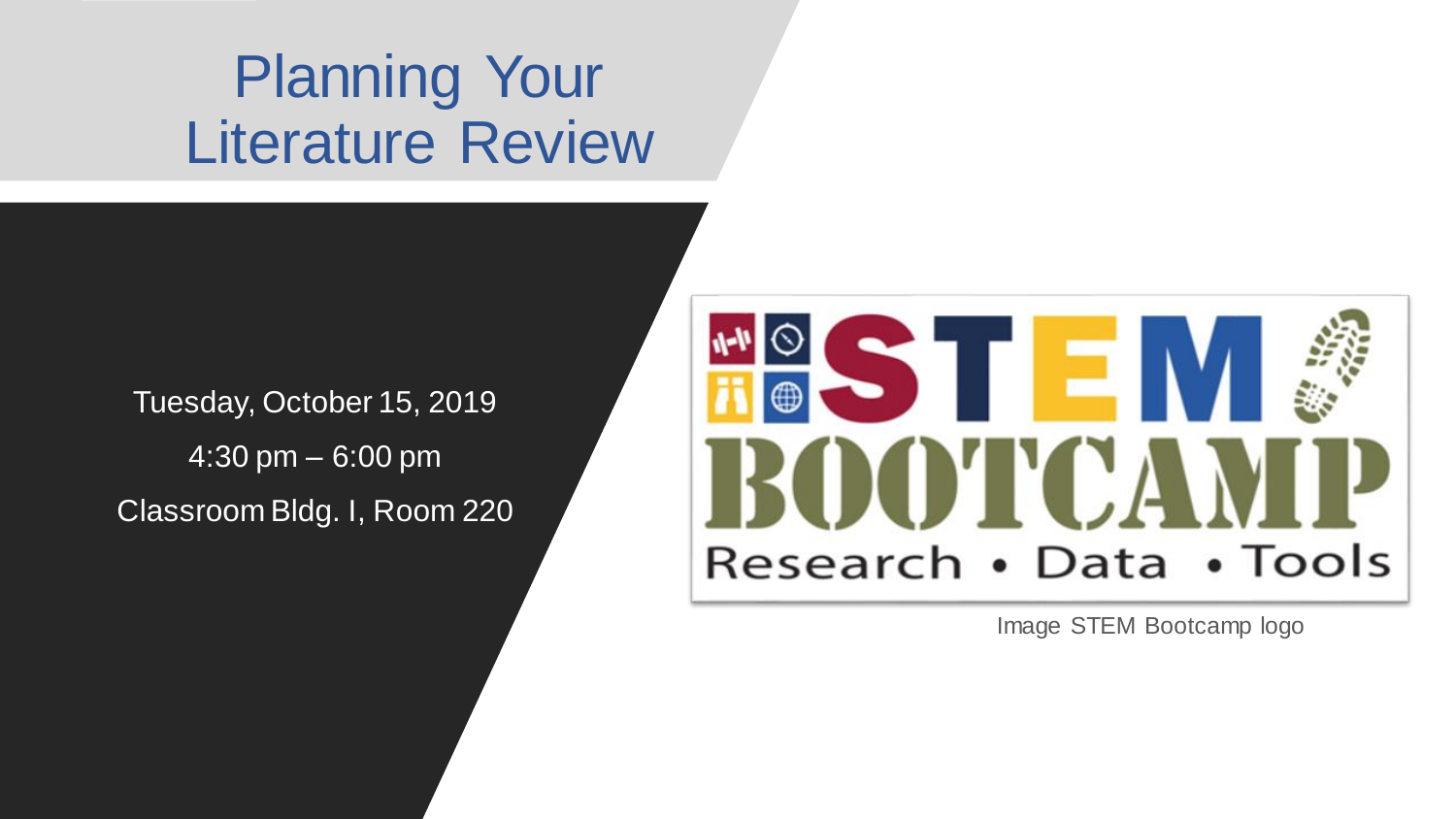### Planning Your Literature Review

Tuesday, October 15, 2019 4:30 pm – 6:00 pm Classroom Bldg. I, Room 220



Image STEM Bootcamp logo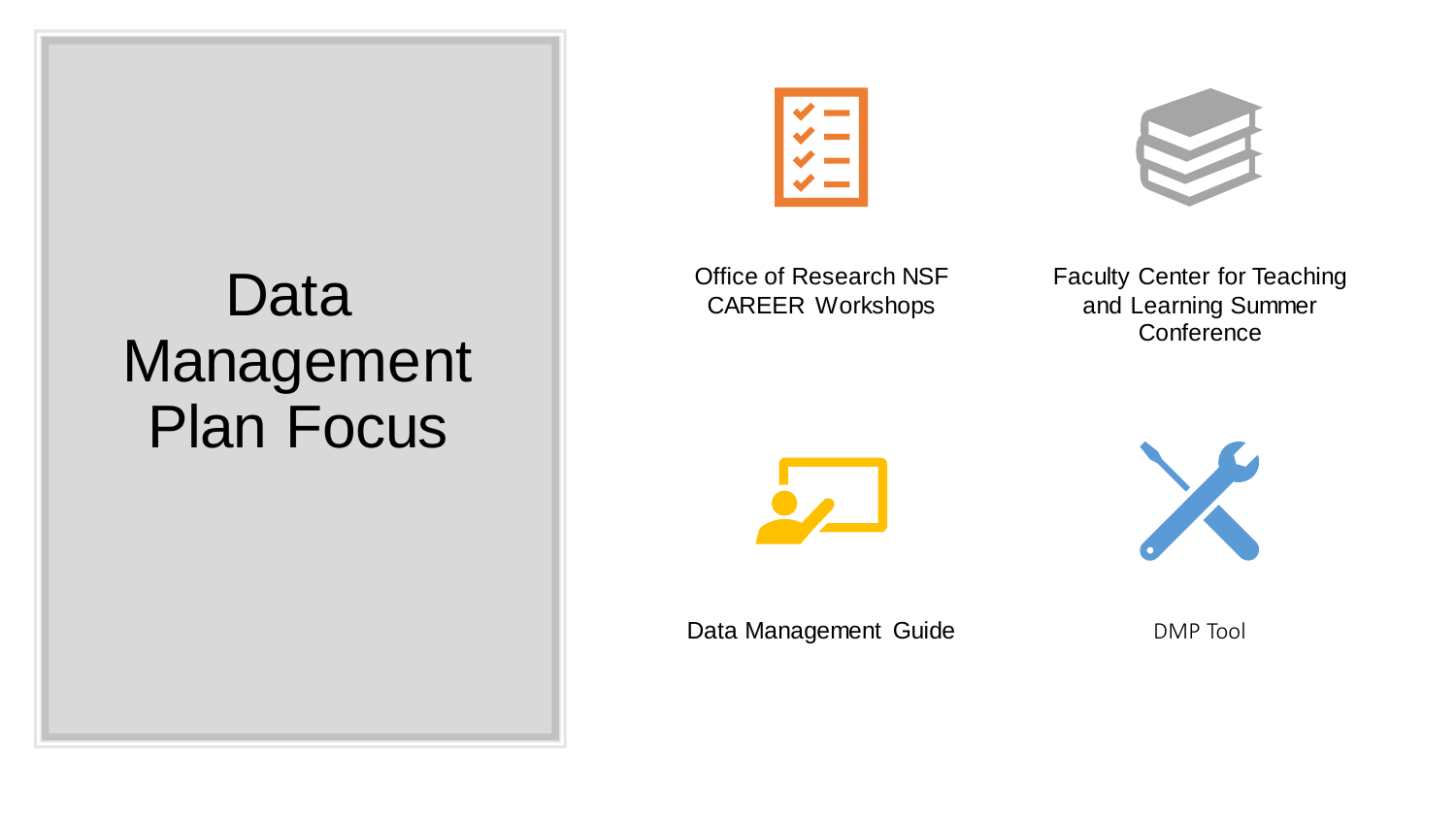### Data Management Plan Focus



Office of Research NSF CAREER Workshops

Faculty Center for Teaching and Learning Summer **Conference** 





Data Management Guide **DATE** DMP Tool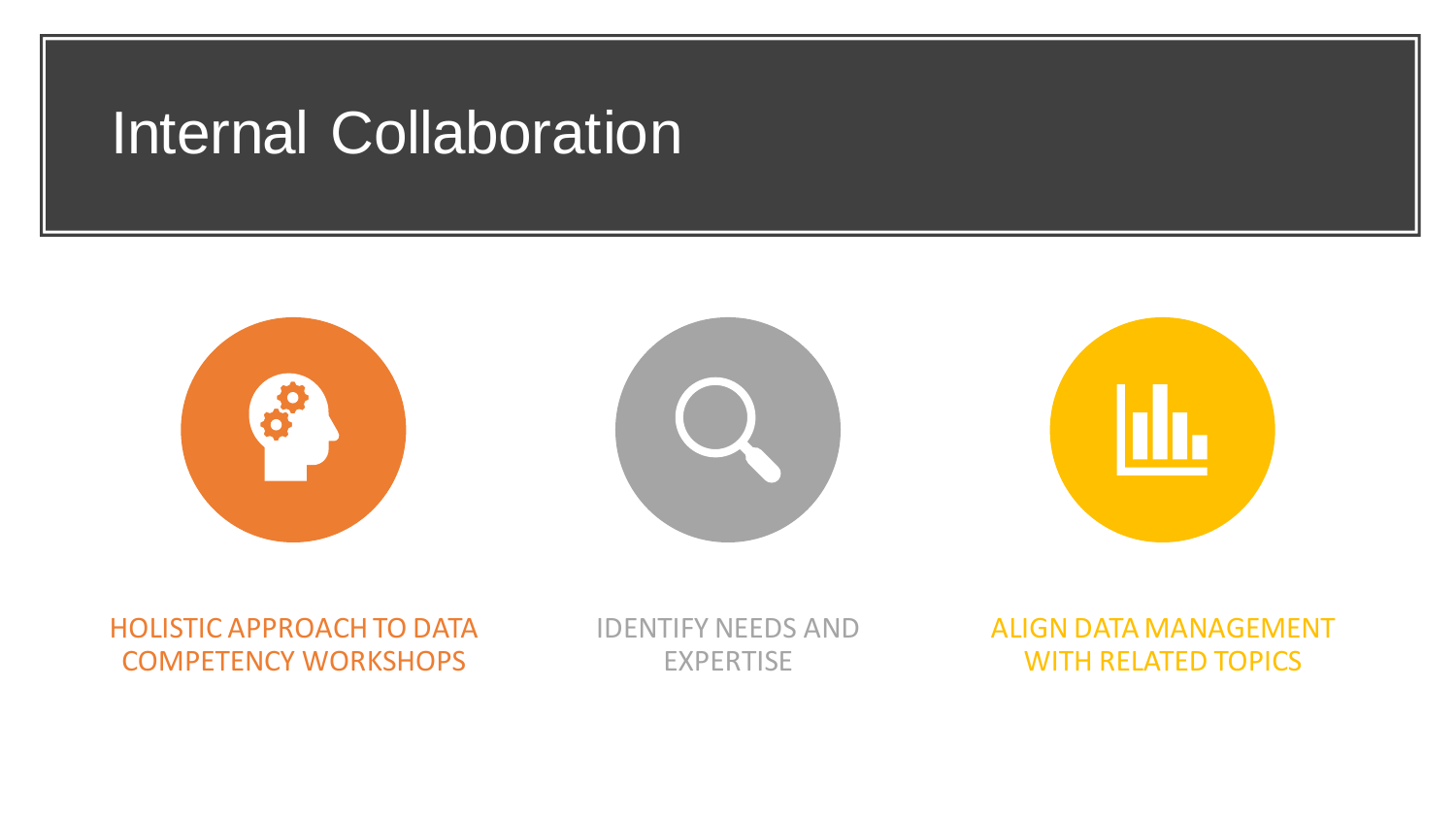#### Internal Collaboration







HOLISTIC APPROACH TO DATA COMPETENCY WORKSHOPS

IDENTIFY NEEDS AND **EXPERTISE** 

ALIGN DATA MANAGEMENT WITH RELATED TOPICS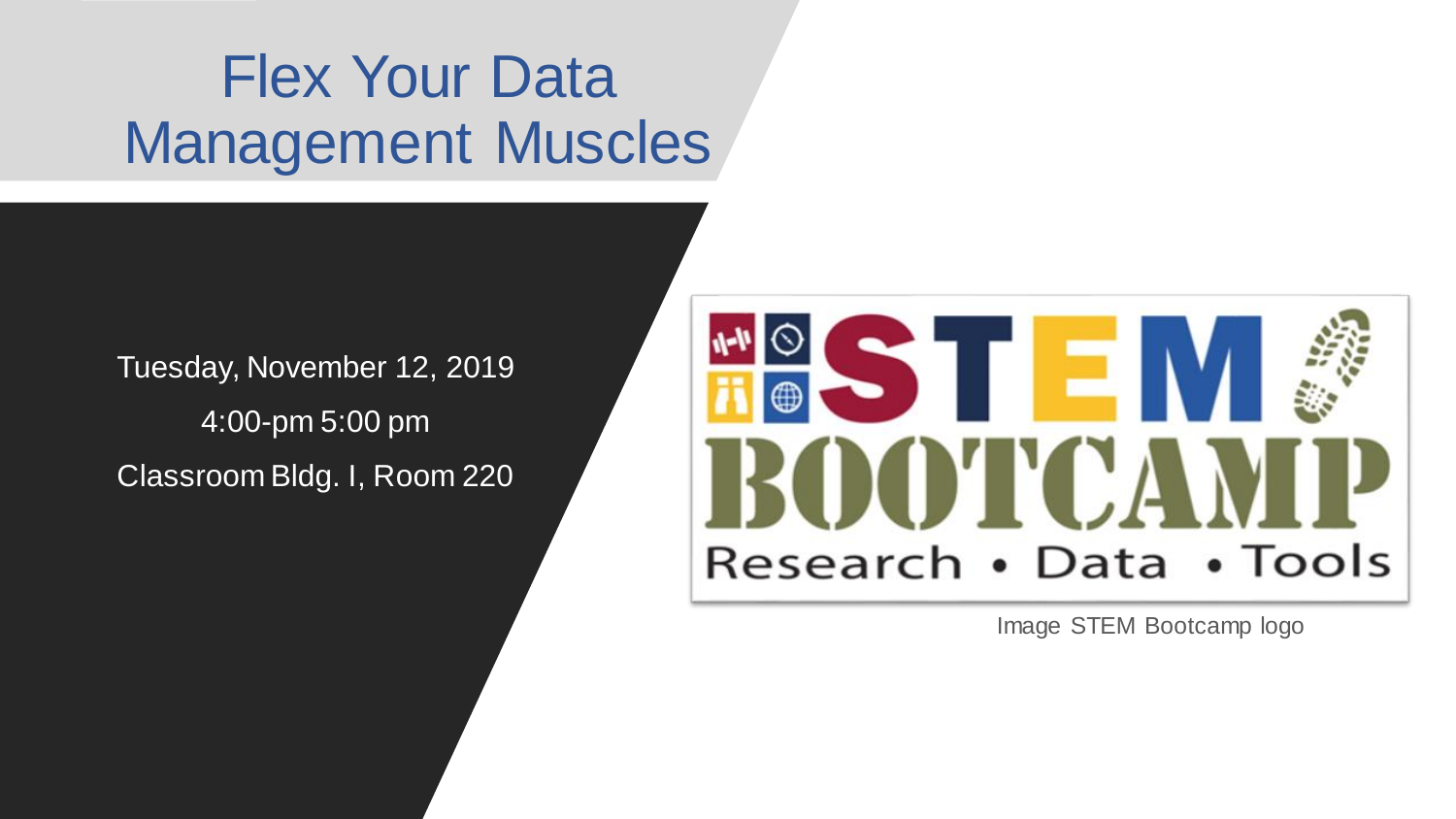## Flex Your Data Management Muscles

Tuesday, November 12, 2019 4:00-pm 5:00 pm Classroom Bldg. I, Room 220



Image STEM Bootcamp logo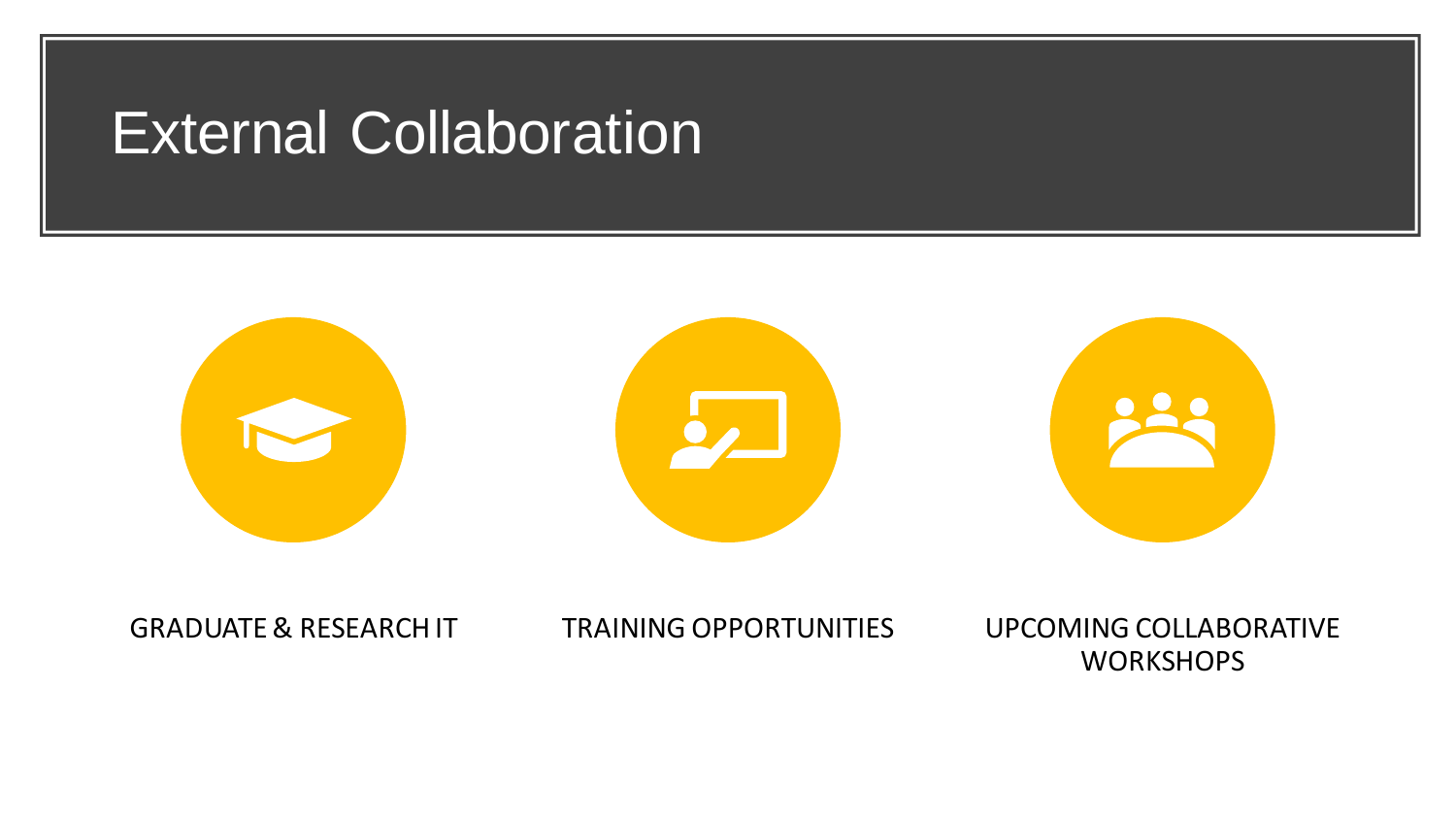#### External Collaboration



GRADUATE & RESEARCH IT TRAINING OPPORTUNITIES UPCOMING COLLABORATIVE **WORKSHOPS**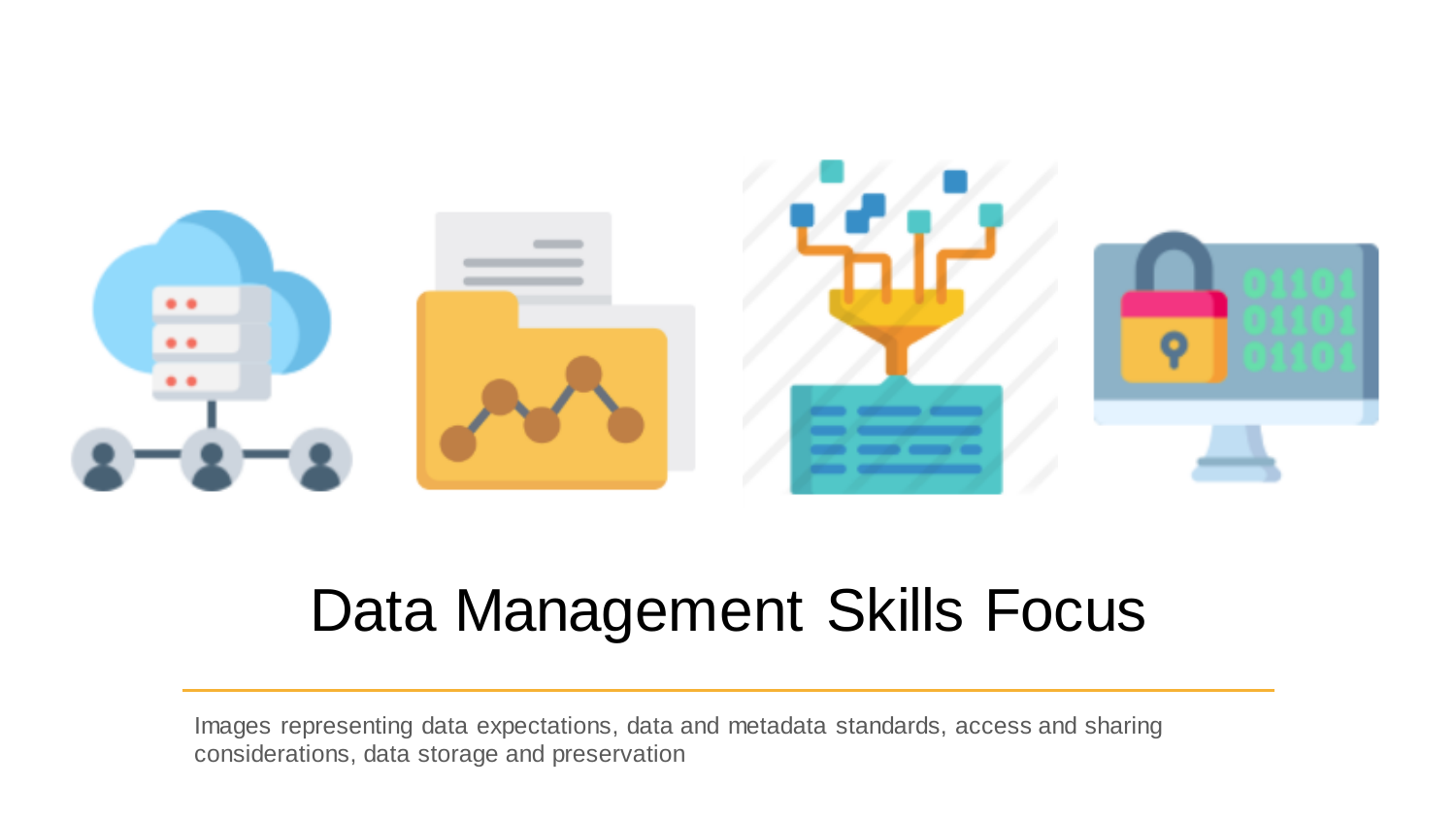

#### Data Management Skills Focus

Images representing data expectations, data and metadata standards, access and sharing considerations, data storage and preservation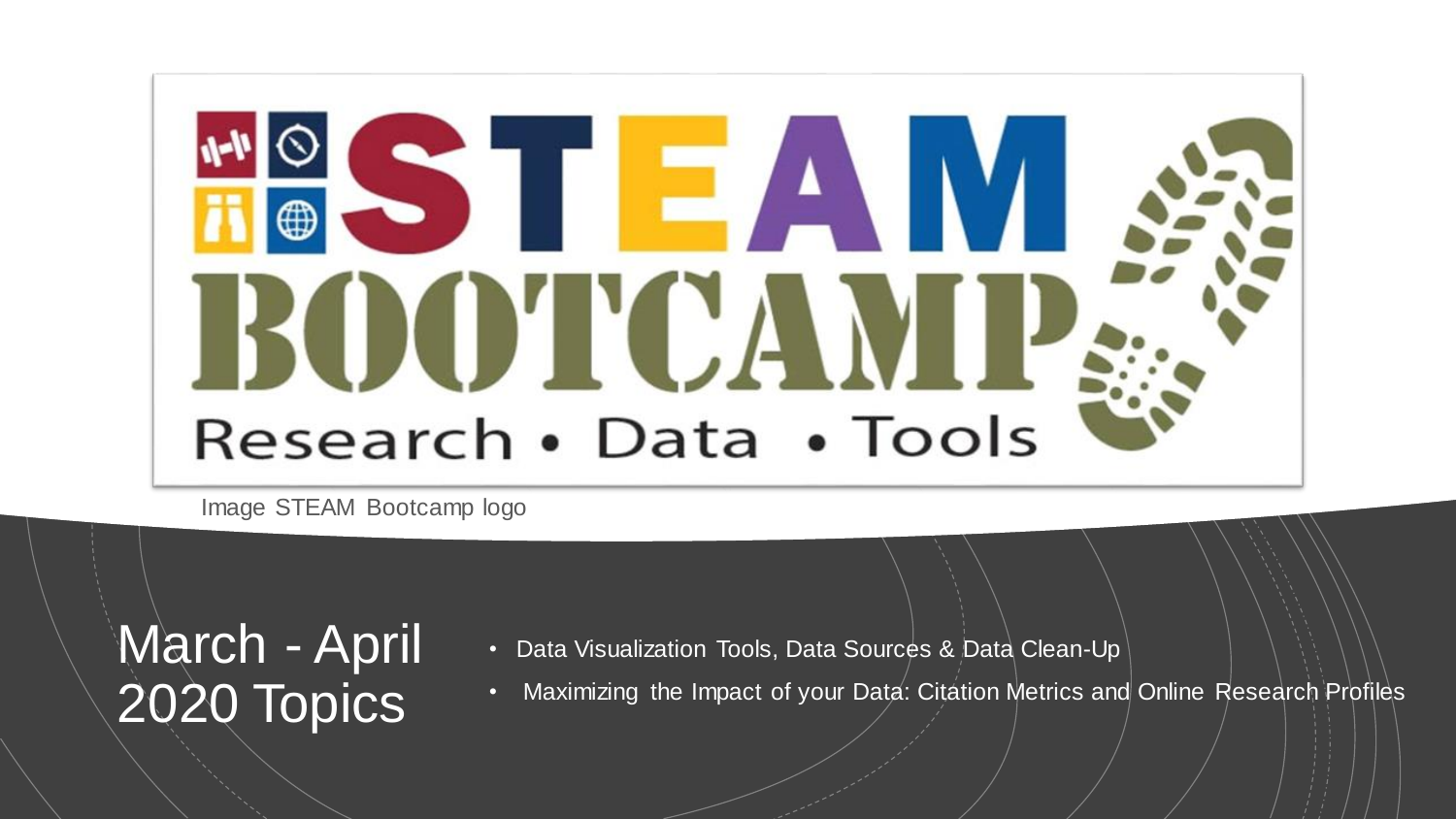# ISTE AIM BOOTCAV Research • Data • Tools

Image STEAM Bootcamp logo

March - April 2020 Topics

- Data Visualization Tools, Data Sources & Data Clean-Up
- Maximizing the Impact of your Data: Citation Metrics and Online Research Profiles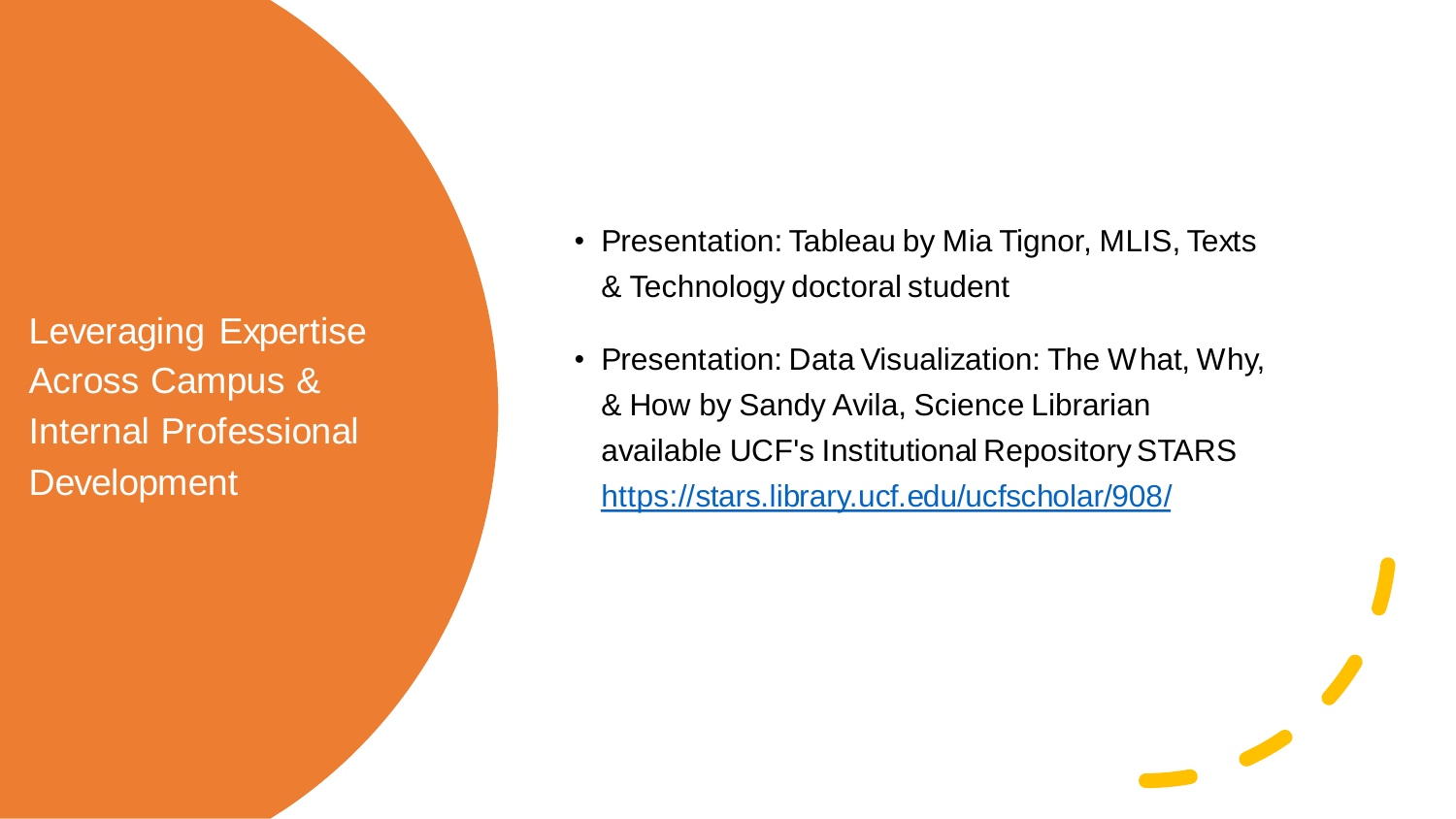Leveraging Expertise Across Campus & Internal Professional **Development** 

- Presentation: Tableau by Mia Tignor, MLIS, Texts & Technology doctoral student
- Presentation: Data Visualization: The What, Why, & How by Sandy Avila, Science Librarian available UCF's Institutional Repository STARS <https://stars.library.ucf.edu/ucfscholar/908/>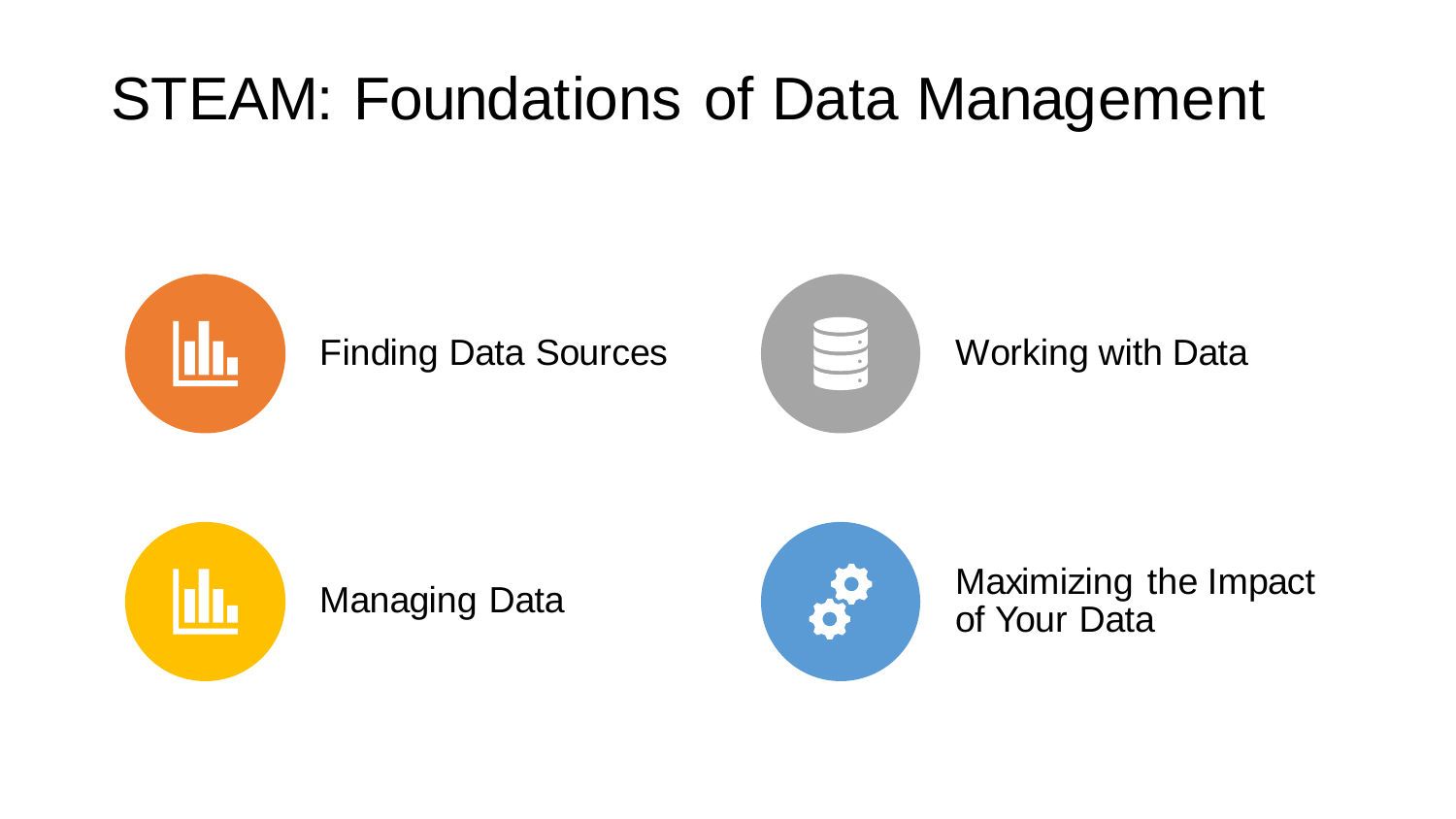## STEAM: Foundations of Data Management







Managing Data **Maximizing the Impact** of Your Data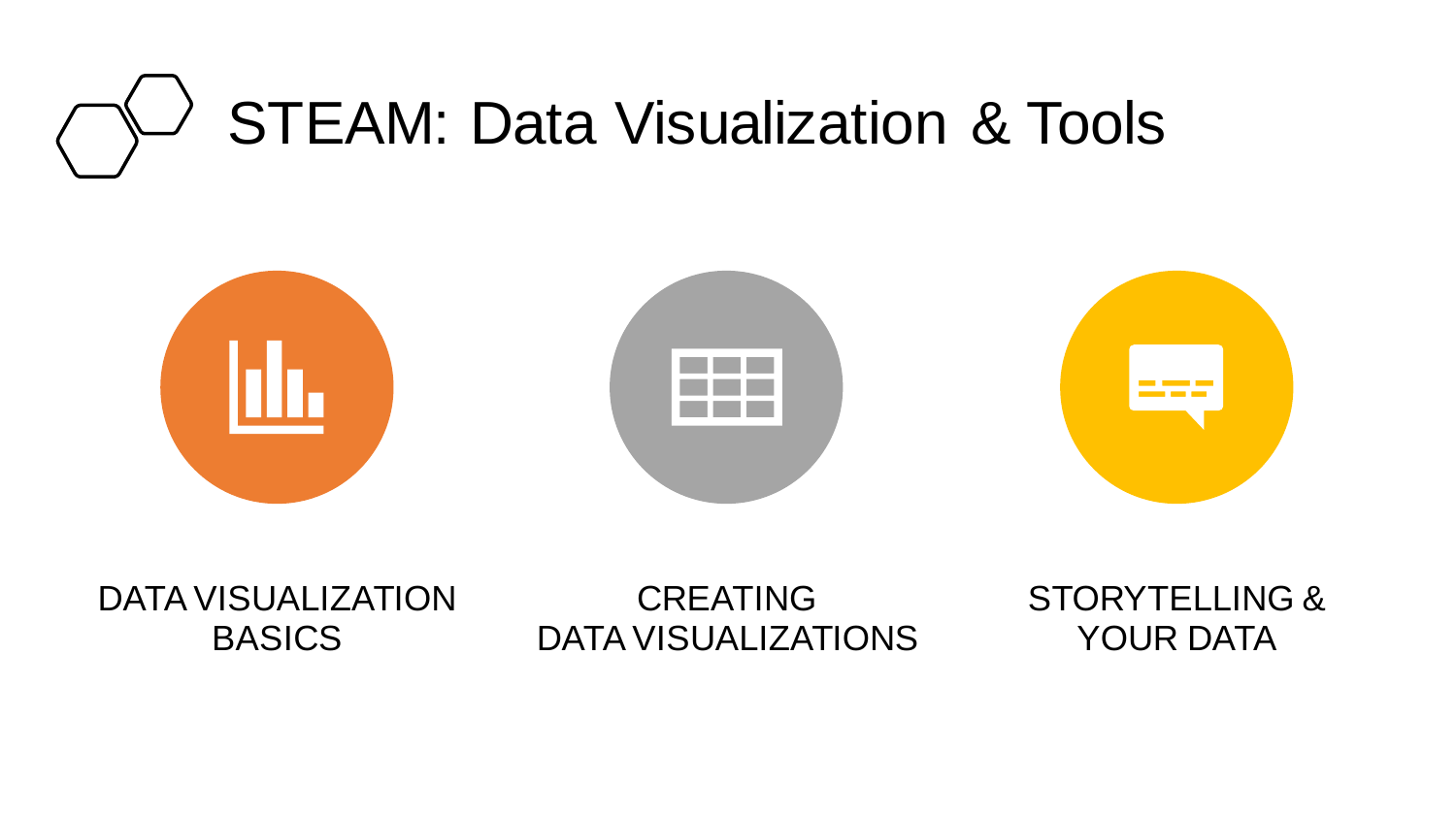# STEAM: Data Visualization & Tools



DATA VISUALIZATION **BASICS** 

CREATING DATA VISUALIZATIONS STORYTELLING & YOUR DATA